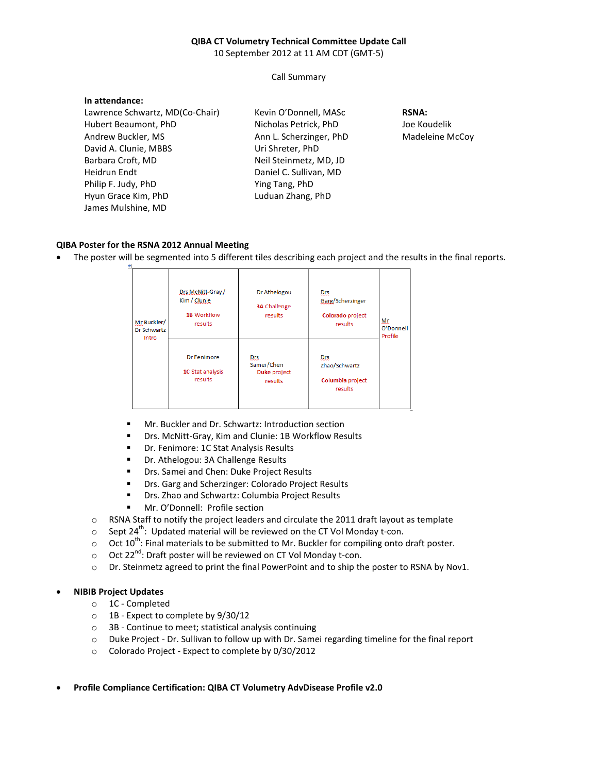## **QIBA CT Volumetry Technical Committee Update Call**

10 September 2012 at 11 AM CDT (GMT-5)

Call Summary

| In attendance:                  |                         |                 |
|---------------------------------|-------------------------|-----------------|
| Lawrence Schwartz, MD(Co-Chair) | Kevin O'Donnell, MASc   | <b>RSNA:</b>    |
| Hubert Beaumont, PhD            | Nicholas Petrick, PhD   | Joe Koudelik    |
| Andrew Buckler, MS              | Ann L. Scherzinger, PhD | Madeleine McCoy |
| David A. Clunie, MBBS           | Uri Shreter, PhD        |                 |
| Barbara Croft, MD               | Neil Steinmetz, MD, JD  |                 |
| Heidrun Endt                    | Daniel C. Sullivan, MD  |                 |
| Philip F. Judy, PhD             | Ying Tang, PhD          |                 |
| Hyun Grace Kim, PhD             | Luduan Zhang, PhD       |                 |
| James Mulshine, MD              |                         |                 |

## **QIBA Poster for the RSNA 2012 Annual Meeting**

• The poster will be segmented into 5 different tiles describing each project and the results in the final reports.

| Mr Buckler/<br>Dr Schwartz<br>Intro | Drs McNitt-Gray/<br>Kim / Clunie<br><b>1B Workflow</b><br>results | Dr Athelogou<br><b>3A Challenge</b><br>results | Drs.<br>Garg/Scherzinger<br>Colorado project<br>results | Мŗ<br>O'Donnell<br>Profile |
|-------------------------------------|-------------------------------------------------------------------|------------------------------------------------|---------------------------------------------------------|----------------------------|
|                                     | Dr Fenimore<br>1C Stat analysis<br>results                        | Drs<br>Samei/Chen<br>Duke project<br>results   | Drs<br>Zhao/Schwartz<br>Columbia project<br>results     |                            |

- **Mr. Buckler and Dr. Schwartz: Introduction section**
- Drs. McNitt-Gray, Kim and Clunie: 1B Workflow Results
- **Dr. Fenimore: 1C Stat Analysis Results**
- **•** Dr. Athelogou: 3A Challenge Results
- **Drs. Samei and Chen: Duke Project Results**
- **Drs. Garg and Scherzinger: Colorado Project Results**
- **Drs. Zhao and Schwartz: Columbia Project Results**
- Mr. O'Donnell: Profile section
- o RSNA Staff to notify the project leaders and circulate the 2011 draft layout as template
- $\circ$  Sept 24<sup>th</sup>: Updated material will be reviewed on the CT Vol Monday t-con.
- $\circ$  Oct 10<sup>th</sup>: Final materials to be submitted to Mr. Buckler for compiling onto draft poster.
- $\circ$  Oct 22<sup>nd</sup>: Draft poster will be reviewed on CT Vol Monday t-con.
- o Dr. Steinmetz agreed to print the final PowerPoint and to ship the poster to RSNA by Nov1.

## • **NIBIB Project Updates**

- o 1C Completed
- o 1B Expect to complete by 9/30/12
- o 3B Continue to meet; statistical analysis continuing
- o Duke Project Dr. Sullivan to follow up with Dr. Samei regarding timeline for the final report
- o Colorado Project Expect to complete by 0/30/2012
- **Profile Compliance Certification: QIBA CT Volumetry AdvDisease Profile v2.0**